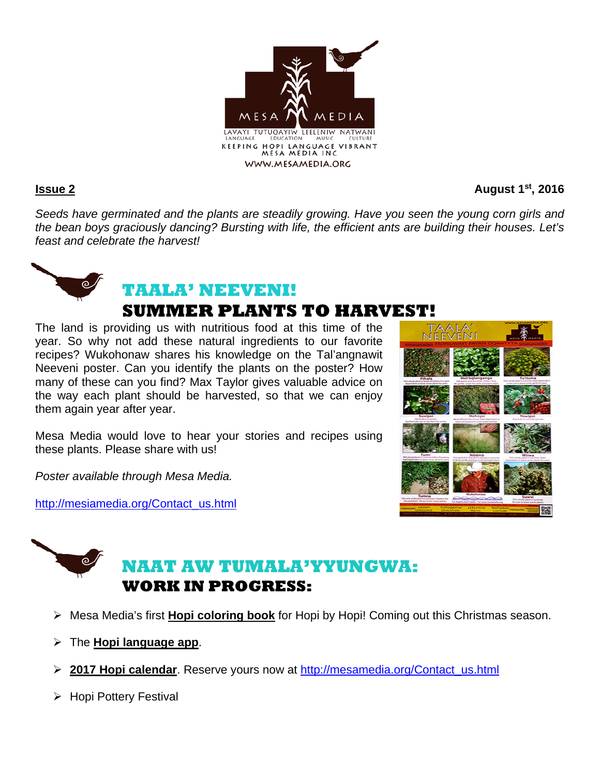

**Issue 2** August 1<sup>st</sup>, 2016

*Seeds have germinated and the plants are steadily growing. Have you seen the young corn girls and the bean boys graciously dancing? Bursting with life, the efficient ants are building their houses. Let's feast and celebrate the harvest!*



# **SUMMER PLANTS TO HARVEST!**

The land is providing us with nutritious food at this time of the year. So why not add these natural ingredients to our favorite recipes? Wukohonaw shares his knowledge on the Tal'angnawit Neeveni poster. Can you identify the plants on the poster? How many of these can you find? Max Taylor gives valuable advice on the way each plant should be harvested, so that we can enjoy them again year after year.

Mesa Media would love to hear your stories and recipes using these plants. Please share with us!

*Poster available through Mesa Media.*

http://mesiamedia.org/Contact\_us.html



# **NAAT AW TUMALA'YYUNGWA: WORK IN PROGRESS:**

- Mesa Media's first **Hopi coloring book** for Hopi by Hopi! Coming out this Christmas season.
- The **Hopi language app**.
- **2017 Hopi calendar**. Reserve yours now at http://mesamedia.org/Contact\_us.html
- > Hopi Pottery Festival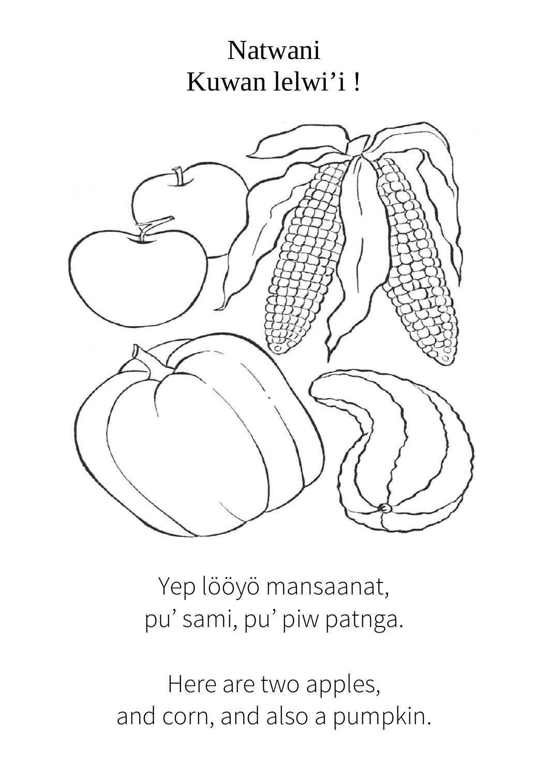# Natwani Kuwan lelwi'i!



Yep lööyö mansaanat, pu' sami, pu' piw patnga.

Here are two apples, and corn, and also a pumpkin.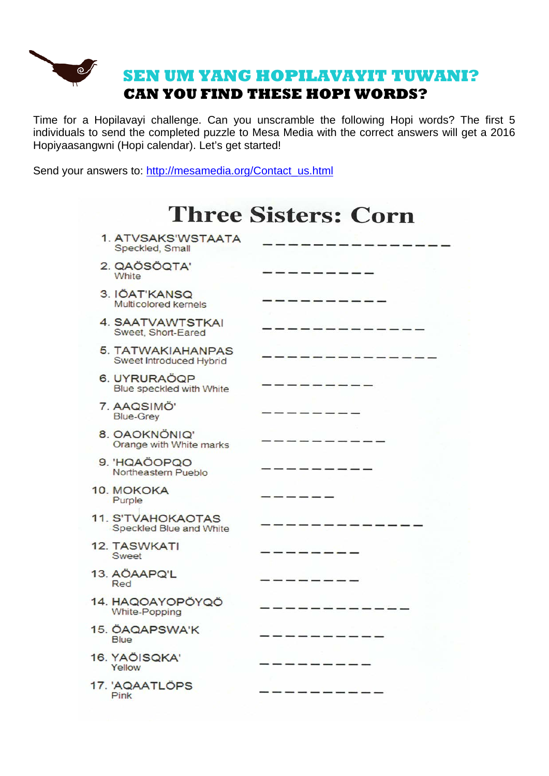

Time for a Hopilavayi challenge. Can you unscramble the following Hopi words? The first 5 individuals to send the completed puzzle to Mesa Media with the correct answers will get a 2016 Hopiyaasangwni (Hopi calendar). Let's get started!

Send your answers to: http://mesamedia.org/Contact\_us.html

| <b>Three Sisters: Corn</b>                          |  |  |  |
|-----------------------------------------------------|--|--|--|
| 1. ATVSAKS'WSTAATA<br>Speckled, Small               |  |  |  |
| 2. QAÖSÖQTA'<br>White                               |  |  |  |
| 3. IÖAT'KANSQ<br>Multicolored kernels               |  |  |  |
| 4. SAATVAWTSTKAI<br>Sweet, Short-Eared              |  |  |  |
| 5. TATWAKIAHANPAS<br>Sweet Introduced Hybrid        |  |  |  |
| 6. UYRURAÖQP<br>Blue speckled with White            |  |  |  |
| 7. AAQSIMÖ'<br><b>Blue-Grey</b>                     |  |  |  |
| 8. OAOKNÖNIQ'<br>Orange with White marks            |  |  |  |
| 9. HQAÖOPQO<br>Northeastern Pueblo                  |  |  |  |
| 10. MOKOKA<br>Purple                                |  |  |  |
| <b>11. S'TVAHOKAOTAS</b><br>Speckled Blue and White |  |  |  |
| <b>12. TASWKATI</b><br>Sweet                        |  |  |  |
| 13. AÖAAPQ'L<br>Red                                 |  |  |  |
| 14. HAQOAYOPÖYQÖ<br>White-Popping                   |  |  |  |
| 15. ÖAQAPSWA'K<br><b>Blue</b>                       |  |  |  |
| 16. YAÖISQKA'<br>Yellow                             |  |  |  |
| 17. 'AQAATLÖPS<br>Pink                              |  |  |  |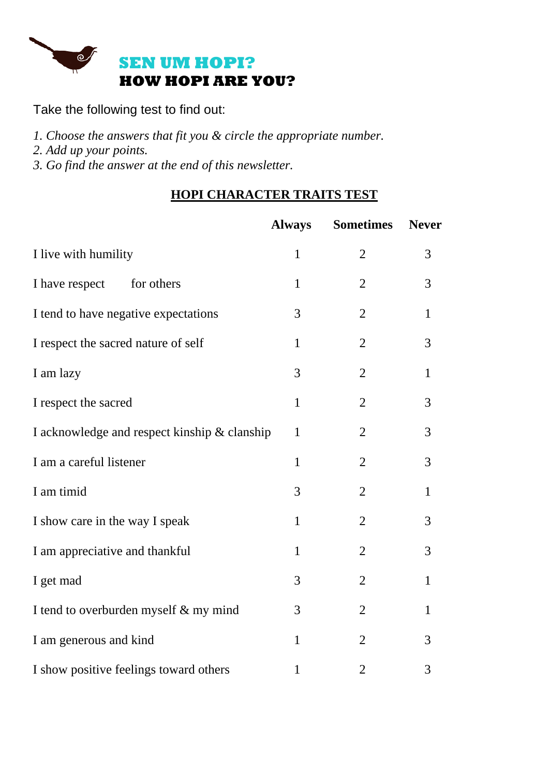

Take the following test to find out:

- *1. Choose the answers that fit you & circle the appropriate number.*
- *2. Add up your points.*

*3. Go find the answer at the end of this newsletter.*

### **HOPI CHARACTER TRAITS TEST**

|                                              | <b>Always</b> | <b>Sometimes</b> | <b>Never</b> |
|----------------------------------------------|---------------|------------------|--------------|
| I live with humility                         | $\mathbf{1}$  | $\overline{2}$   | 3            |
| I have respect<br>for others                 | $\mathbf{1}$  | $\overline{2}$   | 3            |
| I tend to have negative expectations         | 3             | $\overline{2}$   | $\mathbf{1}$ |
| I respect the sacred nature of self          | $\mathbf{1}$  | $\overline{2}$   | 3            |
| I am lazy                                    | 3             | $\overline{2}$   | $\mathbf{1}$ |
| I respect the sacred                         | $\mathbf{1}$  | $\overline{2}$   | 3            |
| I acknowledge and respect kinship & clanship | $\mathbf{1}$  | $\overline{2}$   | 3            |
| I am a careful listener                      | $\mathbf{1}$  | $\overline{2}$   | 3            |
| I am timid                                   | 3             | $\overline{2}$   | $\mathbf{1}$ |
| I show care in the way I speak               | $\mathbf{1}$  | $\overline{2}$   | 3            |
| I am appreciative and thankful               | $\mathbf{1}$  | $\overline{2}$   | 3            |
| I get mad                                    | 3             | $\overline{2}$   | $\mathbf{1}$ |
| I tend to overburden myself & my mind        | 3             | $\overline{2}$   | $\mathbf{1}$ |
| I am generous and kind                       | $\mathbf{1}$  | $\overline{2}$   | 3            |
| I show positive feelings toward others       | $\mathbf{1}$  | $\overline{2}$   | 3            |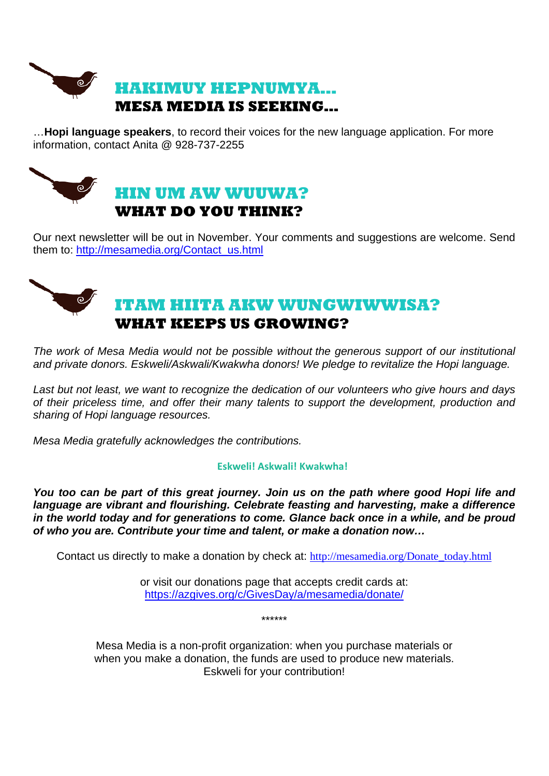

…**Hopi language speakers**, to record their voices for the new language application. For more information, contact Anita @ 928-737-2255



Our next newsletter will be out in November. Your comments and suggestions are welcome. Send them to: http://mesamedia.org/Contact\_us.html

# **ITAM HIITA AKW WUNGWIWWISA? WHAT KEEPS US GROWING?**

*The work of Mesa Media would not be possible without the generous support of our institutional and private donors. Eskweli/Askwali/Kwakwha donors! We pledge to revitalize the Hopi language.*

*Last but not least, we want to recognize the dedication of our volunteers who give hours and days of their priceless time, and offer their many talents to support the development, production and sharing of Hopi language resources.* 

*Mesa Media gratefully acknowledges the contributions.*

#### **Eskweli! Askwali! Kwakwha!**

*You too can be part of this great journey. Join us on the path where good Hopi life and language are vibrant and flourishing. Celebrate feasting and harvesting, make a difference in the world today and for generations to come. Glance back once in a while, and be proud of who you are. Contribute your time and talent, or make a donation now…*

Contact us directly to make a donation by check at: http://mesamedia.org/Donate\_today.html

or visit our donations page that accepts credit cards at: https://azgives.org/c/GivesDay/a/mesamedia/donate/

\*\*\*\*\*\*

Mesa Media is a non-profit organization: when you purchase materials or when you make a donation, the funds are used to produce new materials. Eskweli for your contribution!